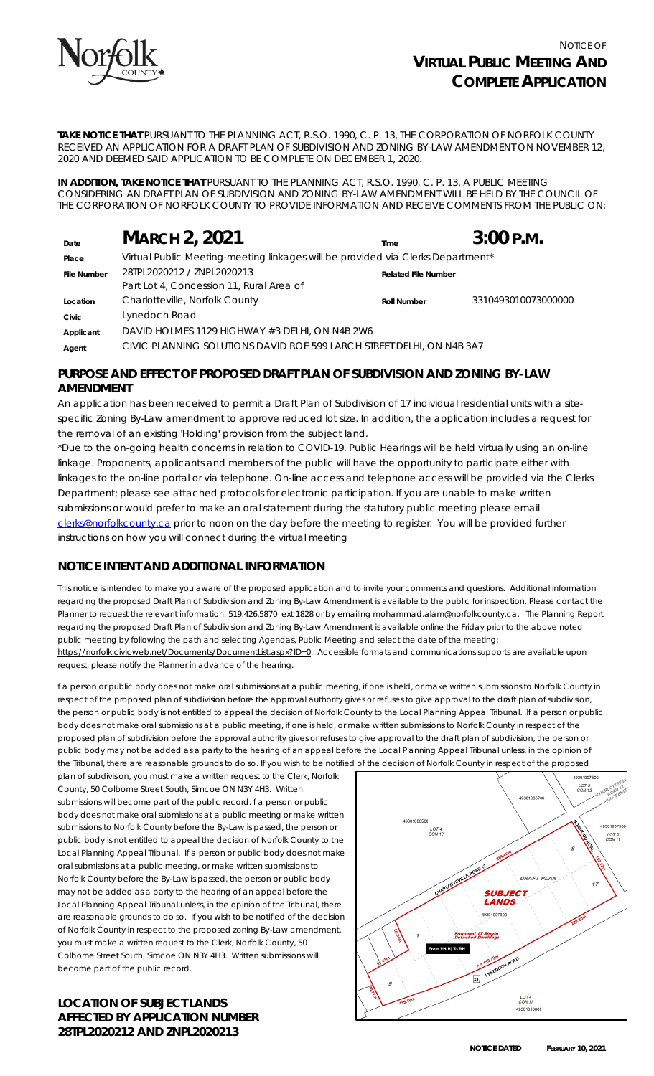

**TAKE NOTICE THAT** PURSUANT TO THE *PLANNING ACT, R.S.O. 1990, C. P. 13*, THE CORPORATION OF NORFOLK COUNTY RECEIVED AN APPLICATION FOR A DRAFT PLAN OF SUBDIVISION AND ZONING BY-LAW AMENDMENT ON NOVEMBER 12, 2020 AND DEEMED SAID APPLICATION TO BE COMPLETE ON DECEMBER 1, 2020.

**IN ADDITION, TAKE NOTICE THAT** PURSUANT TO THE PLANNING ACT, R.S.O. 1990, C. P. 13, A PUBLIC MEETING CONSIDERING AN DRAFT PLAN OF SUBDIVISION AND ZONING BY-LAW AMENDMENT WILL BE HELD BY THE COUNCIL OF THE CORPORATION OF NORFOLK COUNTY TO PROVIDE INFORMATION AND RECEIVE COMMENTS FROM THE PUBLIC ON:

| Date               | <b>MARCH 2, 2021</b>                                                            | Time                       | $3:00$ P.M.         |
|--------------------|---------------------------------------------------------------------------------|----------------------------|---------------------|
| Place              | Virtual Public Meeting-meeting linkages will be provided via Clerks Department* |                            |                     |
| <b>File Number</b> | 28TPL2020212 / ZNPL2020213                                                      | <b>Related File Number</b> |                     |
|                    | Part Lot 4, Concession 11, Rural Area of                                        |                            |                     |
| Location           | Charlotteville, Norfolk County                                                  | <b>Roll Number</b>         | 3310493010073000000 |
| Civic              | Lynedoch Road                                                                   |                            |                     |
| Applicant          | DAVID HOLMES 1129 HIGHWAY #3 DELHI, ON N4B 2W6                                  |                            |                     |
| Agent              | CIVIC PLANNING SOLUTIONS DAVID ROE 599 LARCH STREET DELHI, ON N4B 3A7           |                            |                     |

## **PURPOSE AND EFFECT OF PROPOSED DRAFT PLAN OF SUBDIVISION AND ZONING BY-LAW AMENDMENT**

An application has been received to permit a Draft Plan of Subdivision of 17 individual residential units with a sitespecific Zoning By-Law amendment to approve reduced lot size. In addition, the application includes a request for the removal of an existing 'Holding' provision from the subject land.

\*Due to the on-going health concerns in relation to COVID-19. Public Hearings will be held virtually using an on-line linkage. Proponents, applicants and members of the public will have the opportunity to participate either with linkages to the on-line portal or via telephone. On-line access and telephone access will be provided via the Clerks Department; please see attached protocols for electronic participation. If you are unable to make written submissions or would prefer to make an oral statement during the statutory public meeting please email [clerks@norfolkcounty.ca](mailto:clerks@norfolkcounty.ca) prior to noon on the day before the meeting to register. You will be provided further instructions on how you will connect during the virtual meeting

# **NOTICE INTENT AND ADDITIONAL INFORMATION**

This notice is intended to make you aware of the proposed application and to invite your comments and questions. Additional information regarding the proposed Draft Plan of Subdivision and Zoning By-Law Amendment is available to the public for inspection. Please contact the Planner to request the relevant information. 519.426.5870 ext 1828 or by emailing mohammad.alam@norfolkcounty.ca. The Planning Report regarding the proposed Draft Plan of Subdivision and Zoning By-Law Amendment is available online the Friday prior to the above noted public meeting by following the path and selecting Agendas, Public Meeting and select the date of the meeting: https://norfolk.civicweb.net/Documents/DocumentList.aspx?ID=0. Accessible formats and communications supports are available upon request, please notify the Planner in advance of the hearing.

f a person or public body does not make oral submissions at a public meeting, if one is held, or make written submissions to Norfolk County in respect of the proposed plan of subdivision before the approval authority gives or refuses to give approval to the draft plan of subdivision, the person or public body is not entitled to appeal the decision of Norfolk County to the Local Planning Appeal Tribunal. If a person or public body does not make oral submissions at a public meeting, if one is held, or make written submissions to Norfolk County in respect of the proposed plan of subdivision before the approval authority gives or refuses to give approval to the draft plan of subdivision, the person or public body may not be added as a party to the hearing of an appeal before the Local Planning Appeal Tribunal unless, in the opinion of the Tribunal, there are reasonable grounds to do so. If you wish to be notified of the decision of Norfolk County in respect of the proposed

plan of subdivision, you must make a written request to the Clerk, Norfolk County, 50 Colborne Street South, Simcoe ON N3Y 4H3. Written submissions will become part of the public record. f a person or public body does not make oral submissions at a public meeting or make written submissions to Norfolk County before the By-Law is passed, the person or public body is not entitled to appeal the decision of Norfolk County to the Local Planning Appeal Tribunal. If a person or public body does not make oral submissions at a public meeting, or make written submissions to Norfolk County before the By-Law is passed, the person or public body may not be added as a party to the hearing of an appeal before the Local Planning Appeal Tribunal unless, in the opinion of the Tribunal, there are reasonable grounds to do so. If you wish to be notified of the decision of Norfolk County in respect to the proposed zoning By-Law amendment, you must make a written request to the Clerk, Norfolk County, 50 Colborne Street South, Simcoe ON N3Y 4H3. Written submissions will become part of the public record.

## **LOCATION OF SUBJECT LANDS AFFECTED BY APPLICATION NUMBER 28TPL2020212 AND ZNPL2020213**